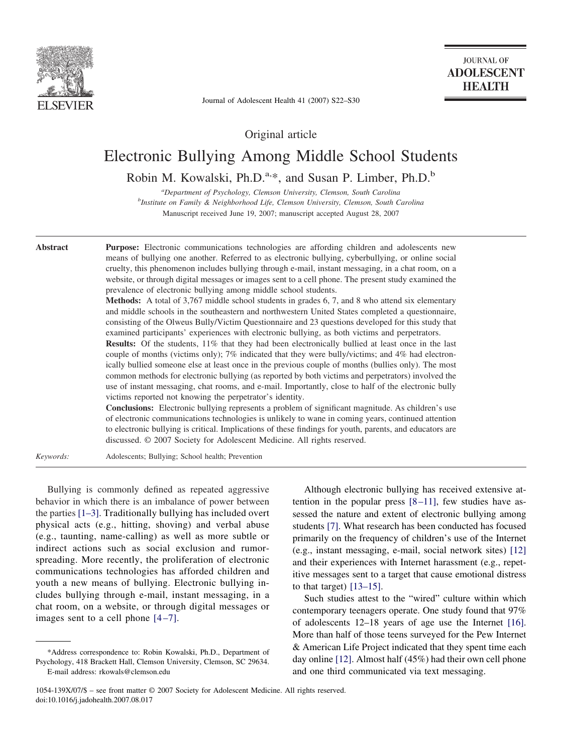

**JOURNAL OF ADOLESCENT HEALTH** 

Journal of Adolescent Health 41 (2007) S22–S30

Original article

# Electronic Bullying Among Middle School Students

## Robin M. Kowalski, Ph.D.<sup>a,\*</sup>, and Susan P. Limber, Ph.D.<sup>b</sup>

*a Department of Psychology, Clemson University, Clemson, South Carolina b Institute on Family & Neighborhood Life, Clemson University, Clemson, South Carolina* Manuscript received June 19, 2007; manuscript accepted August 28, 2007

| Abstract  | <b>Purpose:</b> Electronic communications technologies are affording children and adolescents new<br>means of bullying one another. Referred to as electronic bullying, cyberbullying, or online social<br>cruelty, this phenomenon includes bullying through e-mail, instant messaging, in a chat room, on a<br>website, or through digital messages or images sent to a cell phone. The present study examined the<br>prevalence of electronic bullying among middle school students.<br><b>Methods:</b> A total of 3,767 middle school students in grades 6, 7, and 8 who attend six elementary<br>and middle schools in the southeastern and northwestern United States completed a questionnaire,<br>consisting of the Olweus Bully/Victim Questionnaire and 23 questions developed for this study that<br>examined participants' experiences with electronic bullying, as both victims and perpetrators.<br><b>Results:</b> Of the students, 11% that they had been electronically bullied at least once in the last<br>couple of months (victims only); 7% indicated that they were bully/victims; and 4% had electron-<br>ically bullied someone else at least once in the previous couple of months (bullies only). The most<br>common methods for electronic bullying (as reported by both victims and perpetrators) involved the<br>use of instant messaging, chat rooms, and e-mail. Importantly, close to half of the electronic bully<br>victims reported not knowing the perpetrator's identity.<br><b>Conclusions:</b> Electronic bullying represents a problem of significant magnitude. As children's use<br>of electronic communications technologies is unlikely to wane in coming years, continued attention<br>to electronic bullying is critical. Implications of these findings for youth, parents, and educators are<br>discussed. © 2007 Society for Adolescent Medicine. All rights reserved. |
|-----------|--------------------------------------------------------------------------------------------------------------------------------------------------------------------------------------------------------------------------------------------------------------------------------------------------------------------------------------------------------------------------------------------------------------------------------------------------------------------------------------------------------------------------------------------------------------------------------------------------------------------------------------------------------------------------------------------------------------------------------------------------------------------------------------------------------------------------------------------------------------------------------------------------------------------------------------------------------------------------------------------------------------------------------------------------------------------------------------------------------------------------------------------------------------------------------------------------------------------------------------------------------------------------------------------------------------------------------------------------------------------------------------------------------------------------------------------------------------------------------------------------------------------------------------------------------------------------------------------------------------------------------------------------------------------------------------------------------------------------------------------------------------------------------------------------------------------------------------------------------------------------------------------------------------------------|
| Keywords: | Adolescents; Bullying; School health; Prevention                                                                                                                                                                                                                                                                                                                                                                                                                                                                                                                                                                                                                                                                                                                                                                                                                                                                                                                                                                                                                                                                                                                                                                                                                                                                                                                                                                                                                                                                                                                                                                                                                                                                                                                                                                                                                                                                         |

Bullying is commonly defined as repeated aggressive behavior in which there is an imbalance of power between the parties [\[1–3\].](#page-7-0) Traditionally bullying has included overt physical acts (e.g., hitting, shoving) and verbal abuse (e.g., taunting, name-calling) as well as more subtle or indirect actions such as social exclusion and rumorspreading. More recently, the proliferation of electronic communications technologies has afforded children and youth a new means of bullying. Electronic bullying includes bullying through e-mail, instant messaging, in a chat room, on a website, or through digital messages or images sent to a cell phone [\[4–7\].](#page-7-0)

Although electronic bullying has received extensive attention in the popular press [\[8–11\],](#page-7-0) few studies have assessed the nature and extent of electronic bullying among students [\[7\].](#page-7-0) What research has been conducted has focused primarily on the frequency of children's use of the Internet (e.g., instant messaging, e-mail, social network sites) [\[12\]](#page-7-0) and their experiences with Internet harassment (e.g., repetitive messages sent to a target that cause emotional distress to that target)  $[13-15]$ .

Such studies attest to the "wired" culture within which contemporary teenagers operate. One study found that 97% of adolescents 12–18 years of age use the Internet [\[16\].](#page-8-0) More than half of those teens surveyed for the Pew Internet & American Life Project indicated that they spent time each day online [\[12\].](#page-7-0) Almost half (45%) had their own cell phone and one third communicated via text messaging.

<sup>\*</sup>Address correspondence to: Robin Kowalski, Ph.D., Department of Psychology, 418 Brackett Hall, Clemson University, Clemson, SC 29634. E-mail address: rkowals@clemson.edu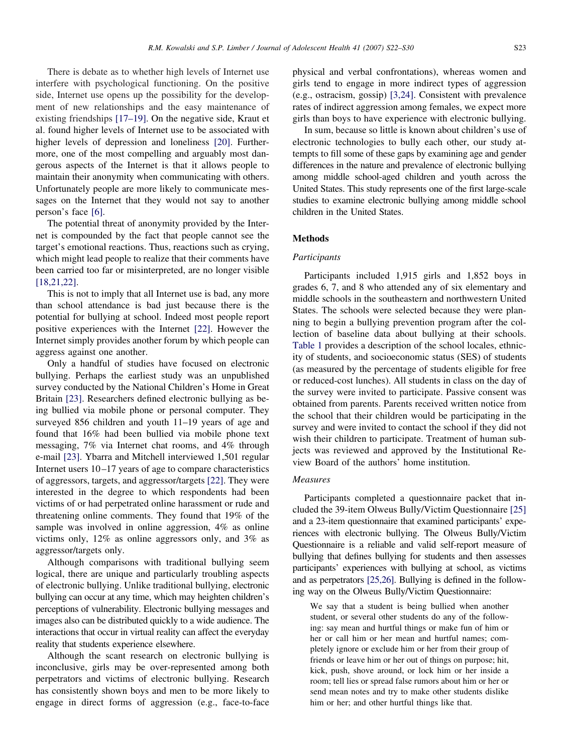There is debate as to whether high levels of Internet use interfere with psychological functioning. On the positive side, Internet use opens up the possibility for the development of new relationships and the easy maintenance of existing friendships [\[17–19\].](#page-8-0) On the negative side, Kraut et al. found higher levels of Internet use to be associated with higher levels of depression and loneliness [\[20\].](#page-8-0) Furthermore, one of the most compelling and arguably most dangerous aspects of the Internet is that it allows people to maintain their anonymity when communicating with others. Unfortunately people are more likely to communicate messages on the Internet that they would not say to another person's face [\[6\].](#page-7-0)

The potential threat of anonymity provided by the Internet is compounded by the fact that people cannot see the target's emotional reactions. Thus, reactions such as crying, which might lead people to realize that their comments have been carried too far or misinterpreted, are no longer visible [\[18,21,22\].](#page-8-0)

This is not to imply that all Internet use is bad, any more than school attendance is bad just because there is the potential for bullying at school. Indeed most people report positive experiences with the Internet [\[22\].](#page-8-0) However the Internet simply provides another forum by which people can aggress against one another.

Only a handful of studies have focused on electronic bullying. Perhaps the earliest study was an unpublished survey conducted by the National Children's Home in Great Britain [\[23\].](#page-8-0) Researchers defined electronic bullying as being bullied via mobile phone or personal computer. They surveyed 856 children and youth 11–19 years of age and found that 16% had been bullied via mobile phone text messaging, 7% via Internet chat rooms, and 4% through e-mail [\[23\].](#page-8-0) Ybarra and Mitchell interviewed 1,501 regular Internet users 10–17 years of age to compare characteristics of aggressors, targets, and aggressor/targets [\[22\].](#page-8-0) They were interested in the degree to which respondents had been victims of or had perpetrated online harassment or rude and threatening online comments. They found that 19% of the sample was involved in online aggression, 4% as online victims only, 12% as online aggressors only, and 3% as aggressor/targets only.

Although comparisons with traditional bullying seem logical, there are unique and particularly troubling aspects of electronic bullying. Unlike traditional bullying, electronic bullying can occur at any time, which may heighten children's perceptions of vulnerability. Electronic bullying messages and images also can be distributed quickly to a wide audience. The interactions that occur in virtual reality can affect the everyday reality that students experience elsewhere.

Although the scant research on electronic bullying is inconclusive, girls may be over-represented among both perpetrators and victims of electronic bullying. Research has consistently shown boys and men to be more likely to engage in direct forms of aggression (e.g., face-to-face

physical and verbal confrontations), whereas women and girls tend to engage in more indirect types of aggression (e.g., ostracism, gossip) [\[3,24\].](#page-7-0) Consistent with prevalence rates of indirect aggression among females, we expect more girls than boys to have experience with electronic bullying.

In sum, because so little is known about children's use of electronic technologies to bully each other, our study attempts to fill some of these gaps by examining age and gender differences in the nature and prevalence of electronic bullying among middle school-aged children and youth across the United States. This study represents one of the first large-scale studies to examine electronic bullying among middle school children in the United States.

#### **Methods**

#### *Participants*

Participants included 1,915 girls and 1,852 boys in grades 6, 7, and 8 who attended any of six elementary and middle schools in the southeastern and northwestern United States. The schools were selected because they were planning to begin a bullying prevention program after the collection of baseline data about bullying at their schools. [Table 1](#page-2-0) provides a description of the school locales, ethnicity of students, and socioeconomic status (SES) of students (as measured by the percentage of students eligible for free or reduced-cost lunches). All students in class on the day of the survey were invited to participate. Passive consent was obtained from parents. Parents received written notice from the school that their children would be participating in the survey and were invited to contact the school if they did not wish their children to participate. Treatment of human subjects was reviewed and approved by the Institutional Review Board of the authors' home institution.

#### *Measures*

Participants completed a questionnaire packet that included the 39-item Olweus Bully/Victim Questionnaire [\[25\]](#page-8-0) and a 23-item questionnaire that examined participants' experiences with electronic bullying. The Olweus Bully/Victim Questionnaire is a reliable and valid self-report measure of bullying that defines bullying for students and then assesses participants' experiences with bullying at school, as victims and as perpetrators [\[25,26\].](#page-8-0) Bullying is defined in the following way on the Olweus Bully/Victim Questionnaire:

We say that a student is being bullied when another student, or several other students do any of the following: say mean and hurtful things or make fun of him or her or call him or her mean and hurtful names; completely ignore or exclude him or her from their group of friends or leave him or her out of things on purpose; hit, kick, push, shove around, or lock him or her inside a room; tell lies or spread false rumors about him or her or send mean notes and try to make other students dislike him or her; and other hurtful things like that.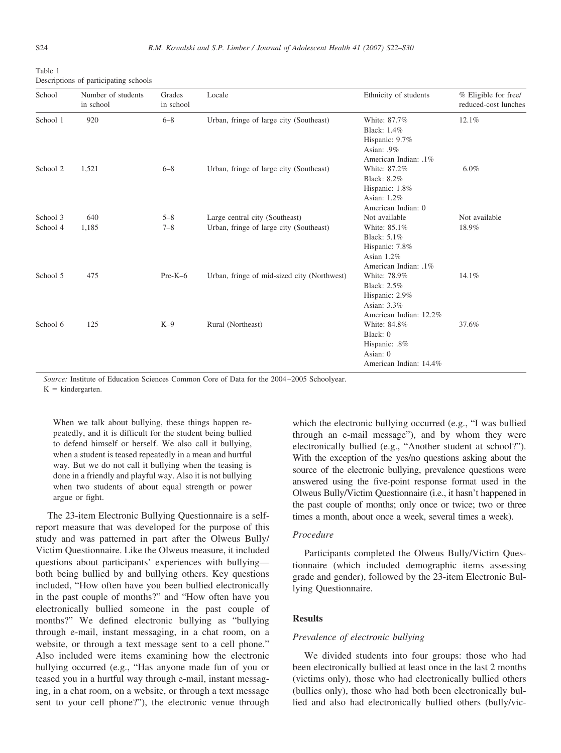| School   | Number of students<br>Grades<br>in school |           | Locale<br>in school                         |                        | % Eligible for free/<br>reduced-cost lunches |  |
|----------|-------------------------------------------|-----------|---------------------------------------------|------------------------|----------------------------------------------|--|
| School 1 | 920                                       | $6 - 8$   | Urban, fringe of large city (Southeast)     | White: 87.7%           | 12.1%                                        |  |
|          |                                           |           |                                             | Black: 1.4%            |                                              |  |
|          |                                           |           |                                             | Hispanic: 9.7%         |                                              |  |
|          |                                           |           |                                             | Asian: .9%             |                                              |  |
|          |                                           |           |                                             | American Indian: .1%   |                                              |  |
| School 2 | 1,521                                     | $6 - 8$   | Urban, fringe of large city (Southeast)     | White: 87.2%           | $6.0\%$                                      |  |
|          |                                           |           |                                             | Black: 8.2%            |                                              |  |
|          |                                           |           |                                             | Hispanic: 1.8%         |                                              |  |
|          |                                           |           |                                             | Asian: 1.2%            |                                              |  |
|          |                                           |           |                                             | American Indian: 0     |                                              |  |
| School 3 | 640                                       | $5 - 8$   | Large central city (Southeast)              | Not available          | Not available                                |  |
| School 4 | 1,185                                     | $7 - 8$   | Urban, fringe of large city (Southeast)     | White: 85.1%           | 18.9%                                        |  |
|          |                                           |           |                                             | Black: 5.1%            |                                              |  |
|          |                                           |           |                                             | Hispanic: 7.8%         |                                              |  |
|          |                                           |           |                                             | Asian $1.2\%$          |                                              |  |
|          |                                           |           |                                             | American Indian: .1%   |                                              |  |
| School 5 | 475                                       | $Pre-K-6$ | Urban, fringe of mid-sized city (Northwest) | White: 78.9%           | 14.1%                                        |  |
|          |                                           |           |                                             | Black: 2.5%            |                                              |  |
|          |                                           |           |                                             | Hispanic: 2.9%         |                                              |  |
|          |                                           |           |                                             | Asian: 3.3%            |                                              |  |
|          |                                           |           |                                             | American Indian: 12.2% |                                              |  |
| School 6 | 125                                       | $K-9$     | Rural (Northeast)                           | White: 84.8%           | 37.6%                                        |  |
|          |                                           |           |                                             | Black: 0               |                                              |  |
|          |                                           |           |                                             | Hispanic: .8%          |                                              |  |
|          |                                           |           |                                             | Asian: 0               |                                              |  |
|          |                                           |           |                                             | American Indian: 14.4% |                                              |  |

<span id="page-2-0"></span>Table 1 Descriptions of participating schools

*Source:* Institute of Education Sciences Common Core of Data for the 2004–2005 Schoolyear.

 $K =$  kindergarten.

When we talk about bullying, these things happen repeatedly, and it is difficult for the student being bullied to defend himself or herself. We also call it bullying, when a student is teased repeatedly in a mean and hurtful way. But we do not call it bullying when the teasing is done in a friendly and playful way. Also it is not bullying when two students of about equal strength or power argue or fight.

The 23-item Electronic Bullying Questionnaire is a selfreport measure that was developed for the purpose of this study and was patterned in part after the Olweus Bully/ Victim Questionnaire. Like the Olweus measure, it included questions about participants' experiences with bullying both being bullied by and bullying others. Key questions included, "How often have you been bullied electronically in the past couple of months?" and "How often have you electronically bullied someone in the past couple of months?" We defined electronic bullying as "bullying through e-mail, instant messaging, in a chat room, on a website, or through a text message sent to a cell phone." Also included were items examining how the electronic bullying occurred (e.g., "Has anyone made fun of you or teased you in a hurtful way through e-mail, instant messaging, in a chat room, on a website, or through a text message sent to your cell phone?"), the electronic venue through

which the electronic bullying occurred (e.g., "I was bullied through an e-mail message"), and by whom they were electronically bullied (e.g., "Another student at school?"). With the exception of the yes/no questions asking about the source of the electronic bullying, prevalence questions were answered using the five-point response format used in the Olweus Bully/Victim Questionnaire (i.e., it hasn't happened in the past couple of months; only once or twice; two or three times a month, about once a week, several times a week).

#### *Procedure*

Participants completed the Olweus Bully/Victim Questionnaire (which included demographic items assessing grade and gender), followed by the 23-item Electronic Bullying Questionnaire.

### **Results**

#### *Prevalence of electronic bullying*

We divided students into four groups: those who had been electronically bullied at least once in the last 2 months (victims only), those who had electronically bullied others (bullies only), those who had both been electronically bullied and also had electronically bullied others (bully/vic-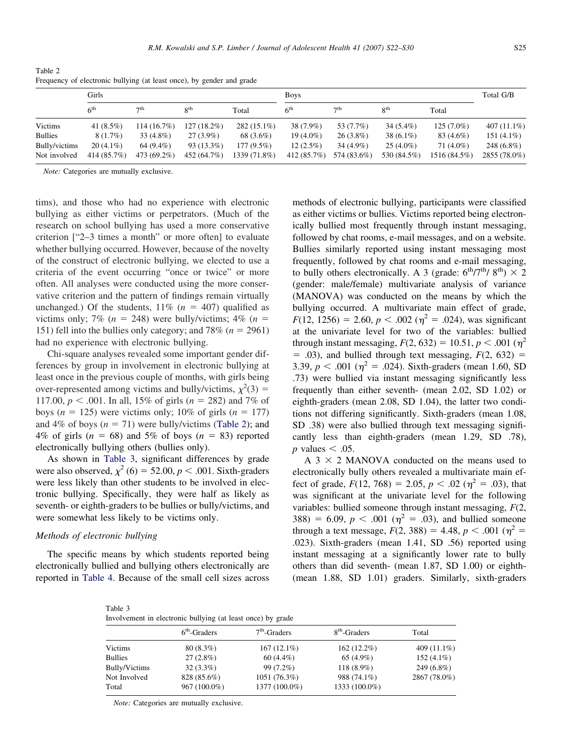Table 2 Frequency of electronic bullying (at least once), by gender and grade

|                | Girls           |                 |               |               | <b>Boys</b>     | Total G/B       |                 |              |               |
|----------------|-----------------|-----------------|---------------|---------------|-----------------|-----------------|-----------------|--------------|---------------|
|                | 6 <sup>th</sup> | 7 <sup>th</sup> | <b>Rth</b>    | Total         | 6 <sup>th</sup> | 7 <sup>th</sup> | 8 <sup>th</sup> | Total        |               |
| Victims        | 41 $(8.5\%)$    | 114(16.7%)      | $127(18.2\%)$ | $282(15.1\%)$ | 38 (7.9%)       | 53 (7.7%)       | $34(5.4\%)$     | $125(7.0\%)$ | $407(11.1\%)$ |
| <b>Bullies</b> | $8(1.7\%)$      | $33(4.8\%)$     | $27(3.9\%)$   | 68 (3.6%)     | $19(4.0\%)$     | $26(3.8\%)$     | $38(6.1\%)$     | 83 (4.6%)    | $151(4.1\%)$  |
| Bully/victims  | $20(4.1\%)$     | $64(9.4\%)$     | 93 (13.3%)    | $177(9.5\%)$  | $12(2.5\%)$     | $34(4.9\%)$     | $25(4.0\%)$     | $71(4.0\%)$  | 248 (6.8%)    |
| Not involved   | 414 (85.7%)     | 473 (69.2%)     | 452 (64.7%)   | 1339 (71.8%)  | 412 (85.7%)     | 574 (83.6%)     | 530 (84.5%)     | 1516 (84.5%) | 2855 (78.0%)  |

*Note:* Categories are mutually exclusive.

tims), and those who had no experience with electronic bullying as either victims or perpetrators. (Much of the research on school bullying has used a more conservative criterion ["2–3 times a month" or more often] to evaluate whether bullying occurred. However, because of the novelty of the construct of electronic bullying, we elected to use a criteria of the event occurring "once or twice" or more often. All analyses were conducted using the more conservative criterion and the pattern of findings remain virtually unchanged.) Of the students,  $11\%$  ( $n = 407$ ) qualified as victims only; 7% ( $n = 248$ ) were bully/victims; 4% ( $n =$ 151) fell into the bullies only category; and  $78\%$  ( $n = 2961$ ) had no experience with electronic bullying.

Chi-square analyses revealed some important gender differences by group in involvement in electronic bullying at least once in the previous couple of months, with girls being over-represented among victims and bully/victims,  $\chi^2(3)$  = 117.00,  $p < .001$ . In all, 15% of girls ( $n = 282$ ) and 7% of boys ( $n = 125$ ) were victims only; 10% of girls ( $n = 177$ ) and 4% of boys  $(n = 71)$  were bully/victims (Table 2); and 4% of girls  $(n = 68)$  and 5% of boys  $(n = 83)$  reported electronically bullying others (bullies only).

As shown in Table 3, significant differences by grade were also observed,  $\chi^2$  (6) = 52.00, *p* < .001. Sixth-graders were less likely than other students to be involved in electronic bullying. Specifically, they were half as likely as seventh- or eighth-graders to be bullies or bully/victims, and were somewhat less likely to be victims only.

#### *Methods of electronic bullying*

The specific means by which students reported being electronically bullied and bullying others electronically are reported in [Table 4.](#page-4-0) Because of the small cell sizes across

methods of electronic bullying, participants were classified as either victims or bullies. Victims reported being electronically bullied most frequently through instant messaging, followed by chat rooms, e-mail messages, and on a website. Bullies similarly reported using instant messaging most frequently, followed by chat rooms and e-mail messaging, to bully others electronically. A 3 (grade:  $6<sup>th</sup>/7<sup>th</sup>/ 8<sup>th</sup>$ )  $\times$  2 (gender: male/female) multivariate analysis of variance (MANOVA) was conducted on the means by which the bullying occurred. A multivariate main effect of grade,  $F(12, 1256) = 2.60, p < .002$  ( $\eta^2 = .024$ ), was significant at the univariate level for two of the variables: bullied through instant messaging,  $F(2, 632) = 10.51, p < .001$  ( $\eta^2$ )  $=$  .03), and bullied through text messaging,  $F(2, 632) =$ 3.39,  $p < .001$  ( $\eta^2 = .024$ ). Sixth-graders (mean 1.60, SD .73) were bullied via instant messaging significantly less frequently than either seventh- (mean 2.02, SD 1.02) or eighth-graders (mean 2.08, SD 1.04), the latter two conditions not differing significantly. Sixth-graders (mean 1.08, SD .38) were also bullied through text messaging significantly less than eighth-graders (mean 1.29, SD .78), *p* values  $\lt$  .05.

A  $3 \times 2$  MANOVA conducted on the means used to electronically bully others revealed a multivariate main effect of grade,  $F(12, 768) = 2.05$ ,  $p < .02$  ( $\eta^2 = .03$ ), that was significant at the univariate level for the following variables: bullied someone through instant messaging, *F*(2, 388) = 6.09,  $p < .001$  ( $\eta^2 = .03$ ), and bullied someone through a text message,  $F(2, 388) = 4.48$ ,  $p < .001$  ( $\eta^2 =$ .023). Sixth-graders (mean 1.41, SD .56) reported using instant messaging at a significantly lower rate to bully others than did seventh- (mean 1.87, SD 1.00) or eighth- (mean 1.88, SD 1.01) graders. Similarly, sixth-graders

| . .<br>٠<br>I<br>٠ |  |
|--------------------|--|
|--------------------|--|

|                | $6th$ -Graders | $7th$ -Graders | 8 <sup>th</sup> -Graders | Total          |
|----------------|----------------|----------------|--------------------------|----------------|
| <b>Victims</b> | $80(8.3\%)$    | $167(12.1\%)$  | $162(12.2\%)$            | 409 $(11.1\%)$ |
| <b>Bullies</b> | $27(2.8\%)$    | $60(4.4\%)$    | $65(4.9\%)$              | $152(4.1\%)$   |
| Bully/Victims  | $32(3.3\%)$    | 99 (7.2%)      | 118 (8.9%)               | 249 (6.8%)     |
| Not Involved   | 828 (85.6%)    | 1051 (76.3%)   | 988 (74.1%)              | 2867 (78.0%)   |
| Total          | 967 (100.0%)   | 1377 (100.0%)  | 1333 (100.0%)            |                |
|                |                |                |                          |                |

*Note:* Categories are mutually exclusive.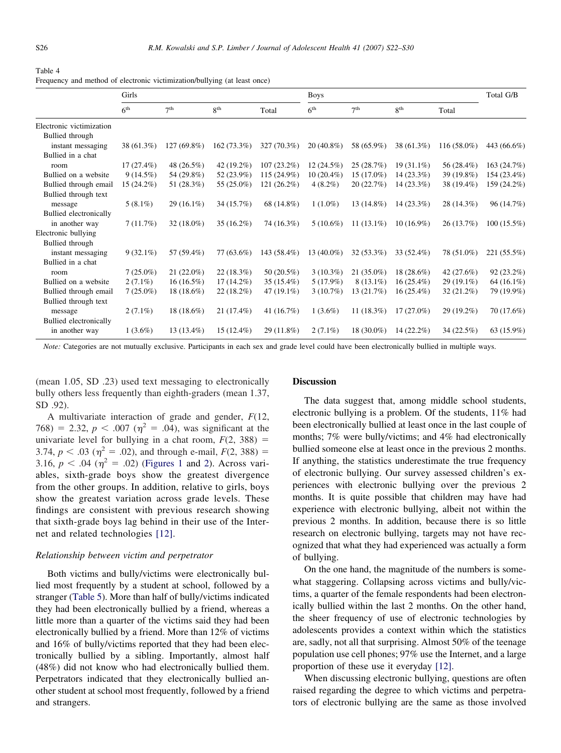<span id="page-4-0"></span>Table 4 Frequency and method of electronic victimization/bullying (at least once)

|                          | Girls           |                 |              |               | <b>Boys</b>     |                 |              |             | Total G/B     |
|--------------------------|-----------------|-----------------|--------------|---------------|-----------------|-----------------|--------------|-------------|---------------|
|                          | 6 <sup>th</sup> | 7 <sup>th</sup> | $R^{th}$     | Total         | 6 <sup>th</sup> | 7 <sup>th</sup> | $R^{th}$     | Total       |               |
| Electronic victimization |                 |                 |              |               |                 |                 |              |             |               |
| Bullied through          |                 |                 |              |               |                 |                 |              |             |               |
| instant messaging        | 38 (61.3%)      | 127 (69.8%)     | 162 (73.3%)  | 327 (70.3%)   | 20 (40.8%)      | 58 (65.9%)      | 38 (61.3%)   | 116 (58.0%) | 443 (66.6%)   |
| Bullied in a chat        |                 |                 |              |               |                 |                 |              |             |               |
| room                     | $17(27.4\%)$    | 48 (26.5%)      | $42(19.2\%)$ | $107(23.2\%)$ | 12(24.5%)       | 25(28.7%)       | 19 (31.1%)   | 56 (28.4%)  | 163 (24.7%)   |
| Bullied on a website     | $9(14.5\%)$     | 54 (29.8%)      | 52 (23.9%)   | 115 (24.9%)   | $10(20.4\%)$    | $15(17.0\%)$    | 14 (23.3%)   | 39 (19.8%)  | 154 (23.4%)   |
| Bullied through email    | 15 (24.2%)      | 51 (28.3%)      | 55 (25.0%)   | 121 (26.2%)   | $4(8.2\%)$      | 20 (22.7%)      | 14(23.3%)    | 38 (19.4%)  | 159 (24.2%)   |
| Bullied through text     |                 |                 |              |               |                 |                 |              |             |               |
| message                  | $5(8.1\%)$      | $29(16.1\%)$    | 34 (15.7%)   | 68 (14.8%)    | $1(1.0\%)$      | 13 (14.8%)      | 14 (23.3%)   | 28 (14.3%)  | 96 (14.7%)    |
| Bullied electronically   |                 |                 |              |               |                 |                 |              |             |               |
| in another way           | 7(11.7%)        | 32 (18.0%)      | 35 (16.2%)   | 74 (16.3%)    | $5(10.6\%)$     | $11(13.1\%)$    | $10(16.9\%)$ | 26(13.7%)   | $100(15.5\%)$ |
| Electronic bullying      |                 |                 |              |               |                 |                 |              |             |               |
| Bullied through          |                 |                 |              |               |                 |                 |              |             |               |
| instant messaging        | $9(32.1\%)$     | 57 (59.4%)      | 77 (63.6%)   | 143 (58.4%)   | 13 (40.0%)      | 32 (53.3%)      | 33 (52.4%)   | 78 (51.0%)  | 221 (55.5%)   |
| Bullied in a chat        |                 |                 |              |               |                 |                 |              |             |               |
| room                     | $7(25.0\%)$     | $21(22.0\%)$    | 22(18.3%)    | 50 (20.5%)    | $3(10.3\%)$     | 21 (35.0%)      | $18(28.6\%)$ | 42 (27.6%)  | 92(23.2%)     |
| Bullied on a website     | $2(7.1\%)$      | $16(16.5\%)$    | $17(14.2\%)$ | 35 (15.4%)    | 5(17.9%)        | $8(13.1\%)$     | $16(25.4\%)$ | 29 (19.1%)  | 64 $(16.1\%)$ |
| Bullied through email    | $7(25.0\%)$     | 18 (18.6%)      | 22(18.2%)    | 47 (19.1%)    | 3(10.7%)        | 13 (21.7%)      | $16(25.4\%)$ | 32 (21.2%)  | 79 (19.9%)    |
| Bullied through text     |                 |                 |              |               |                 |                 |              |             |               |
| message                  | $2(7.1\%)$      | 18 (18.6%)      | 21 (17.4%)   | 41 $(16.7%)$  | $1(3.6\%)$      | 11 $(18.3%)$    | $17(27.0\%)$ | 29 (19.2%)  | 70 (17.6%)    |
| Bullied electronically   |                 |                 |              |               |                 |                 |              |             |               |
| in another way           | $1(3.6\%)$      | 13 (13.4%)      | $15(12.4\%)$ | 29 (11.8%)    | $2(7.1\%)$      | 18 (30.0%)      | 14 (22.2%)   | 34 (22.5%)  | 63 (15.9%)    |

*Note:* Categories are not mutually exclusive. Participants in each sex and grade level could have been electronically bullied in multiple ways.

(mean 1.05, SD .23) used text messaging to electronically bully others less frequently than eighth-graders (mean 1.37, SD .92).

A multivariate interaction of grade and gender, *F*(12,  $768$ ) = 2.32, *p* < .007 ( $\eta^2$  = .04), was significant at the univariate level for bullying in a chat room,  $F(2, 388) =$ 3.74,  $p < .03$  ( $\eta^2 = .02$ ), and through e-mail,  $F(2, 388) =$ 3.16,  $p < .04$  ( $\eta^2 = .02$ ) [\(Figures 1](#page-5-0) and [2\)](#page-5-0). Across variables, sixth-grade boys show the greatest divergence from the other groups. In addition, relative to girls, boys show the greatest variation across grade levels. These findings are consistent with previous research showing that sixth-grade boys lag behind in their use of the Internet and related technologies [\[12\].](#page-7-0)

#### *Relationship between victim and perpetrator*

Both victims and bully/victims were electronically bullied most frequently by a student at school, followed by a stranger [\(Table 5\)](#page-6-0). More than half of bully/victims indicated they had been electronically bullied by a friend, whereas a little more than a quarter of the victims said they had been electronically bullied by a friend. More than 12% of victims and 16% of bully/victims reported that they had been electronically bullied by a sibling. Importantly, almost half (48%) did not know who had electronically bullied them. Perpetrators indicated that they electronically bullied another student at school most frequently, followed by a friend and strangers.

#### **Discussion**

The data suggest that, among middle school students, electronic bullying is a problem. Of the students, 11% had been electronically bullied at least once in the last couple of months; 7% were bully/victims; and 4% had electronically bullied someone else at least once in the previous 2 months. If anything, the statistics underestimate the true frequency of electronic bullying. Our survey assessed children's experiences with electronic bullying over the previous 2 months. It is quite possible that children may have had experience with electronic bullying, albeit not within the previous 2 months. In addition, because there is so little research on electronic bullying, targets may not have recognized that what they had experienced was actually a form of bullying.

On the one hand, the magnitude of the numbers is somewhat staggering. Collapsing across victims and bully/victims, a quarter of the female respondents had been electronically bullied within the last 2 months. On the other hand, the sheer frequency of use of electronic technologies by adolescents provides a context within which the statistics are, sadly, not all that surprising. Almost 50% of the teenage population use cell phones; 97% use the Internet, and a large proportion of these use it everyday [\[12\].](#page-7-0)

When discussing electronic bullying, questions are often raised regarding the degree to which victims and perpetrators of electronic bullying are the same as those involved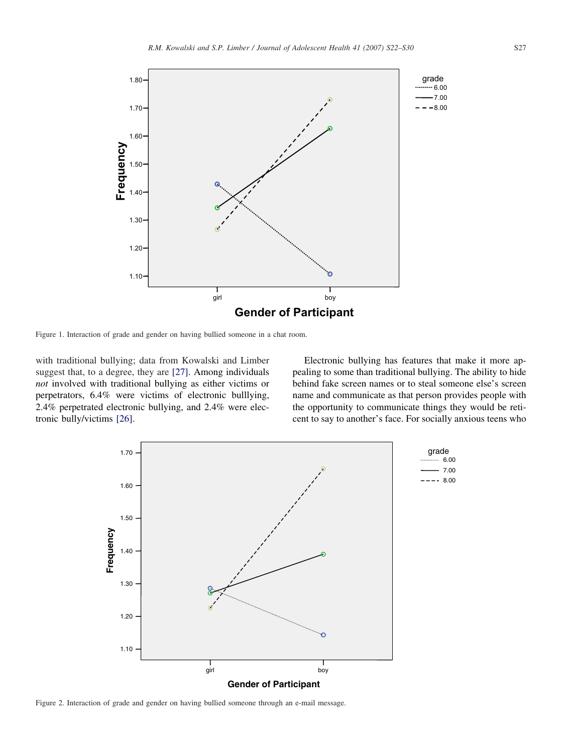<span id="page-5-0"></span>

Figure 1. Interaction of grade and gender on having bullied someone in a chat room.

with traditional bullying; data from Kowalski and Limber suggest that, to a degree, they are [\[27\].](#page-8-0) Among individuals *not* involved with traditional bullying as either victims or perpetrators, 6.4% were victims of electronic bulllying, 2.4% perpetrated electronic bullying, and 2.4% were electronic bully/victims [\[26\].](#page-8-0)

Electronic bullying has features that make it more appealing to some than traditional bullying. The ability to hide behind fake screen names or to steal someone else's screen name and communicate as that person provides people with the opportunity to communicate things they would be reticent to say to another's face. For socially anxious teens who



Figure 2. Interaction of grade and gender on having bullied someone through an e-mail message.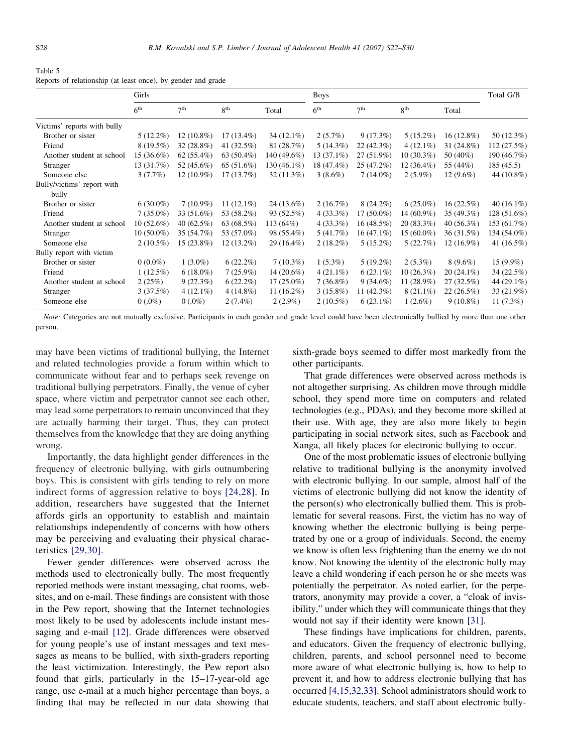<span id="page-6-0"></span>Table 5 Reports of relationship (at least once), by gender and grade

|                             | Girls           |                 |                 | <b>Boys</b>   |                 |                 |                 | Total G/B    |               |
|-----------------------------|-----------------|-----------------|-----------------|---------------|-----------------|-----------------|-----------------|--------------|---------------|
|                             | 6 <sup>th</sup> | 7 <sup>th</sup> | 8 <sup>th</sup> | Total         | 6 <sup>th</sup> | 7 <sup>th</sup> | 8 <sup>th</sup> | Total        |               |
| Victims' reports with bully |                 |                 |                 |               |                 |                 |                 |              |               |
| Brother or sister           | $5(12.2\%)$     | $12(10.8\%)$    | $17(13.4\%)$    | $34(12.1\%)$  | 2(5.7%)         | $9(17.3\%)$     | $5(15.2\%)$     | $16(12.8\%)$ | 50 (12.3%)    |
| Friend                      | $8(19.5\%)$     | 32 (28.8%)      | 41 (32.5%)      | 81 (28.7%)    | $5(14.3\%)$     | $22(42.3\%)$    | $4(12.1\%)$     | 31 (24.8%)   | 112 (27.5%)   |
| Another student at school   | $15(36.6\%)$    | 62(55.4%)       | 63 $(50.4\%)$   | 140 (49.6%)   | 13 (37.1%)      | 27 (51.9%)      | $10(30.3\%)$    | 50 (40%)     | 190 (46.7%)   |
| Stranger                    | 13 (31.7%)      | 52 (45.6%)      | 65(51.6%)       | $130(46.1\%)$ | 18 (47.4%)      | 25 (47.2%)      | 12 (36.4%)      | 55 (44%)     | 185(45.5)     |
| Someone else                | 3(7.7%)         | $12(10.9\%)$    | 17(13.7%)       | $32(11.3\%)$  | $3(8.6\%)$      | $7(14.0\%)$     | $2(5.9\%)$      | $12(9.6\%)$  | 44 (10.8%)    |
| Bully/victims' report with  |                 |                 |                 |               |                 |                 |                 |              |               |
| bully                       |                 |                 |                 |               |                 |                 |                 |              |               |
| Brother or sister           | $6(30.0\%)$     | $7(10.9\%)$     | $11(12.1\%)$    | 24 (13.6%)    | 2(16.7%)        | $8(24.2\%)$     | $6(25.0\%)$     | 16(22.5%)    | 40 $(16.1\%)$ |
| Friend                      | $7(35.0\%)$     | 33 (51.6%)      | 53 (58.2%)      | 93 (52.5%)    | $4(33.3\%)$     | $17(50.0\%)$    | 14 (60.9%)      | 35 (49.3%)   | 128 (51.6%)   |
| Another student at school   | $10(52.6\%)$    | 40 $(62.5\%)$   | 63 (68.5%)      | 113(64%)      | $4(33.3\%)$     | $16(48.5\%)$    | 20(83.3%)       | 40 (56.3%)   | 153 (61.7%)   |
| Stranger                    | $10(50.0\%)$    | 35 (54.7%)      | 53 (57.0%)      | 98 (55.4%)    | 5(41.7%)        | $16(47.1\%)$    | $15(60.0\%)$    | 36 (31.5%)   | 134 (54.0%)   |
| Someone else                | $2(10.5\%)$     | $15(23.8\%)$    | $12(13.2\%)$    | $29(16.4\%)$  | $2(18.2\%)$     | $5(15.2\%)$     | 5(22.7%)        | $12(16.9\%)$ | 41 (16.5%)    |
| Bully report with victim    |                 |                 |                 |               |                 |                 |                 |              |               |
| Brother or sister           | $0(0.0\%)$      | $1(3.0\%)$      | $6(22.2\%)$     | $7(10.3\%)$   | $1(5.3\%)$      | $5(19.2\%)$     | $2(5.3\%)$      | $8(9.6\%)$   | $15(9.9\%)$   |
| Friend                      | $1(12.5\%)$     | $6(18.0\%)$     | $7(25.9\%)$     | $14(20.6\%)$  | $4(21.1\%)$     | $6(23.1\%)$     | 10(26.3%)       | $20(24.1\%)$ | 34 (22.5%)    |
| Another student at school   | 2(25%)          | 9(27.3%)        | $6(22.2\%)$     | $17(25.0\%)$  | $7(36.8\%)$     | $9(34.6\%)$     | 11 (28.9%)      | $27(32.5\%)$ | 44 (29.1%)    |
| Stranger                    | 3(37.5%)        | $4(12.1\%)$     | $4(14.8\%)$     | $11(16.2\%)$  | $3(15.8\%)$     | $11(42.3\%)$    | $8(21.1\%)$     | 22(26.5%)    | 33 (21.9%)    |
| Someone else                | $0(.0\%)$       | $0(.0\%)$       | $2(7.4\%)$      | $2(2.9\%)$    | $2(10.5\%)$     | $6(23.1\%)$     | $1(2.6\%)$      | $9(10.8\%)$  | 11(7.3%)      |

*Note:* Categories are not mutually exclusive. Participants in each gender and grade level could have been electronically bullied by more than one other person.

may have been victims of traditional bullying, the Internet and related technologies provide a forum within which to communicate without fear and to perhaps seek revenge on traditional bullying perpetrators. Finally, the venue of cyber space, where victim and perpetrator cannot see each other, may lead some perpetrators to remain unconvinced that they are actually harming their target. Thus, they can protect themselves from the knowledge that they are doing anything wrong.

Importantly, the data highlight gender differences in the frequency of electronic bullying, with girls outnumbering boys. This is consistent with girls tending to rely on more indirect forms of aggression relative to boys [\[24,28\].](#page-8-0) In addition, researchers have suggested that the Internet affords girls an opportunity to establish and maintain relationships independently of concerns with how others may be perceiving and evaluating their physical characteristics [\[29,30\].](#page-8-0)

Fewer gender differences were observed across the methods used to electronically bully. The most frequently reported methods were instant messaging, chat rooms, websites, and on e-mail. These findings are consistent with those in the Pew report, showing that the Internet technologies most likely to be used by adolescents include instant messaging and e-mail [\[12\].](#page-7-0) Grade differences were observed for young people's use of instant messages and text messages as means to be bullied, with sixth-graders reporting the least victimization. Interestingly, the Pew report also found that girls, particularly in the 15–17-year-old age range, use e-mail at a much higher percentage than boys, a finding that may be reflected in our data showing that sixth-grade boys seemed to differ most markedly from the other participants.

That grade differences were observed across methods is not altogether surprising. As children move through middle school, they spend more time on computers and related technologies (e.g., PDAs), and they become more skilled at their use. With age, they are also more likely to begin participating in social network sites, such as Facebook and Xanga, all likely places for electronic bullying to occur.

One of the most problematic issues of electronic bullying relative to traditional bullying is the anonymity involved with electronic bullying. In our sample, almost half of the victims of electronic bullying did not know the identity of the person(s) who electronically bullied them. This is problematic for several reasons. First, the victim has no way of knowing whether the electronic bullying is being perpetrated by one or a group of individuals. Second, the enemy we know is often less frightening than the enemy we do not know. Not knowing the identity of the electronic bully may leave a child wondering if each person he or she meets was potentially the perpetrator. As noted earlier, for the perpetrators, anonymity may provide a cover, a "cloak of invisibility," under which they will communicate things that they would not say if their identity were known [\[31\].](#page-8-0)

These findings have implications for children, parents, and educators. Given the frequency of electronic bullying, children, parents, and school personnel need to become more aware of what electronic bullying is, how to help to prevent it, and how to address electronic bullying that has occurred [\[4,15,32,33\].](#page-7-0) School administrators should work to educate students, teachers, and staff about electronic bully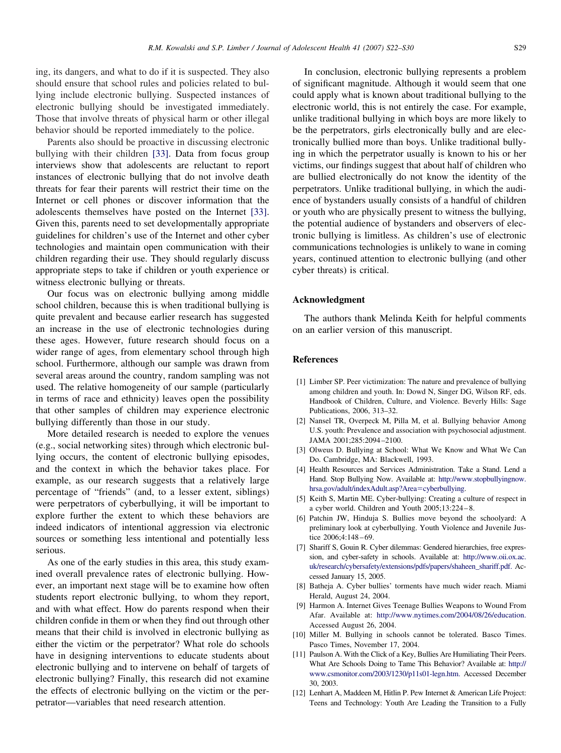<span id="page-7-0"></span>ing, its dangers, and what to do if it is suspected. They also should ensure that school rules and policies related to bullying include electronic bullying. Suspected instances of electronic bullying should be investigated immediately. Those that involve threats of physical harm or other illegal behavior should be reported immediately to the police.

Parents also should be proactive in discussing electronic bullying with their children [\[33\].](#page-8-0) Data from focus group interviews show that adolescents are reluctant to report instances of electronic bullying that do not involve death threats for fear their parents will restrict their time on the Internet or cell phones or discover information that the adolescents themselves have posted on the Internet [\[33\].](#page-8-0) Given this, parents need to set developmentally appropriate guidelines for children's use of the Internet and other cyber technologies and maintain open communication with their children regarding their use. They should regularly discuss appropriate steps to take if children or youth experience or witness electronic bullying or threats.

Our focus was on electronic bullying among middle school children, because this is when traditional bullying is quite prevalent and because earlier research has suggested an increase in the use of electronic technologies during these ages. However, future research should focus on a wider range of ages, from elementary school through high school. Furthermore, although our sample was drawn from several areas around the country, random sampling was not used. The relative homogeneity of our sample (particularly in terms of race and ethnicity) leaves open the possibility that other samples of children may experience electronic bullying differently than those in our study.

More detailed research is needed to explore the venues (e.g., social networking sites) through which electronic bullying occurs, the content of electronic bullying episodes, and the context in which the behavior takes place. For example, as our research suggests that a relatively large percentage of "friends" (and, to a lesser extent, siblings) were perpetrators of cyberbullying, it will be important to explore further the extent to which these behaviors are indeed indicators of intentional aggression via electronic sources or something less intentional and potentially less serious.

As one of the early studies in this area, this study examined overall prevalence rates of electronic bullying. However, an important next stage will be to examine how often students report electronic bullying, to whom they report, and with what effect. How do parents respond when their children confide in them or when they find out through other means that their child is involved in electronic bullying as either the victim or the perpetrator? What role do schools have in designing interventions to educate students about electronic bullying and to intervene on behalf of targets of electronic bullying? Finally, this research did not examine the effects of electronic bullying on the victim or the perpetrator—variables that need research attention.

In conclusion, electronic bullying represents a problem of significant magnitude. Although it would seem that one could apply what is known about traditional bullying to the electronic world, this is not entirely the case. For example, unlike traditional bullying in which boys are more likely to be the perpetrators, girls electronically bully and are electronically bullied more than boys. Unlike traditional bullying in which the perpetrator usually is known to his or her victims, our findings suggest that about half of children who are bullied electronically do not know the identity of the perpetrators. Unlike traditional bullying, in which the audience of bystanders usually consists of a handful of children or youth who are physically present to witness the bullying, the potential audience of bystanders and observers of electronic bullying is limitless. As children's use of electronic communications technologies is unlikely to wane in coming years, continued attention to electronic bullying (and other cyber threats) is critical.

#### **Acknowledgment**

The authors thank Melinda Keith for helpful comments on an earlier version of this manuscript.

#### **References**

- [1] Limber SP. Peer victimization: The nature and prevalence of bullying among children and youth. In: Dowd N, Singer DG, Wilson RF, eds. Handbook of Children, Culture, and Violence. Beverly Hills: Sage Publications, 2006, 313–32.
- [2] Nansel TR, Overpeck M, Pilla M, et al. Bullying behavior Among U.S. youth: Prevalence and association with psychosocial adjustment. JAMA 2001;285:2094–2100.
- [3] Olweus D. Bullying at School: What We Know and What We Can Do. Cambridge, MA: Blackwell, 1993.
- [4] Health Resources and Services Administration. Take a Stand. Lend a Hand. Stop Bullying Now. Available at: [http://www.stopbullyingnow.](http://www.stopbullyingnow.hrsa.gov/adult/indexAdult.asp?Area=cyberbullying) [hrsa.gov/adult/indexAdult.asp?Area](http://www.stopbullyingnow.hrsa.gov/adult/indexAdult.asp?Area=cyberbullying)=cyberbullying.
- [5] Keith S, Martin ME. Cyber-bullying: Creating a culture of respect in a cyber world. Children and Youth 2005;13:224–8.
- [6] Patchin JW, Hinduja S. Bullies move beyond the schoolyard: A preliminary look at cyberbullying. Youth Violence and Juvenile Justice 2006;4:148–69.
- [7] Shariff S, Gouin R. Cyber dilemmas: Gendered hierarchies, free expression, and cyber-safety in schools. Available at: [http://www.oii.ox.ac.](http://www.oii.ox.ac.uk/research/cybersafety/extensions/pdfs/papers/shaheen_shariff.pdf) [uk/research/cybersafety/extensions/pdfs/papers/shaheen\\_shariff.pdf.](http://www.oii.ox.ac.uk/research/cybersafety/extensions/pdfs/papers/shaheen_shariff.pdf) Accessed January 15, 2005.
- [8] Batheja A. Cyber bullies' torments have much wider reach. Miami Herald, August 24, 2004.
- [9] Harmon A. Internet Gives Teenage Bullies Weapons to Wound From [Afar.](http://www.nytimes.com/2004/08/26/education) [Available](http://www.nytimes.com/2004/08/26/education) [at:](http://www.nytimes.com/2004/08/26/education) [http://www.nytimes.com/2004/08/26/education.](http://www.nytimes.com/2004/08/26/education) Accessed August 26, 2004.
- [10] Miller M. Bullying in schools cannot be tolerated. Basco Times. Pasco Times, November 17, 2004.
- [11] Paulson A. With the Click of a Key, Bullies Are Humiliating Their Peers. What Are Schools Doing to Tame This Behavior? Available at: [http://](http://www.csmonitor.com/2003/1230/p11s01-legn.htm) [www.csmonitor.com/2003/1230/p11s01-legn.htm.](http://www.csmonitor.com/2003/1230/p11s01-legn.htm) Accessed December 30, 2003.
- [12] Lenhart A, Maddeen M, Hitlin P. Pew Internet & American Life Project: Teens and Technology: Youth Are Leading the Transition to a Fully